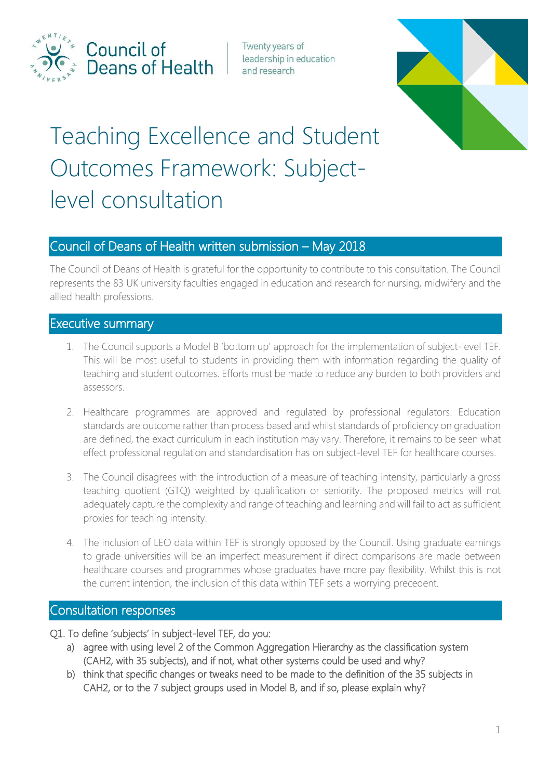

Council of Deans of Health

Twenty years of leadership in education and research



# Teaching Excellence and Student Outcomes Framework: Subjectlevel consultation

# Council of Deans of Health written submission – May 2018

The Council of Deans of Health is grateful for the opportunity to contribute to this consultation. The Council represents the 83 UK university faculties engaged in education and research for nursing, midwifery and the allied health professions.

# Executive summary

- 1. The Council supports a Model B 'bottom up' approach for the implementation of subject-level TEF. This will be most useful to students in providing them with information regarding the quality of teaching and student outcomes. Efforts must be made to reduce any burden to both providers and assessors.
- 2. Healthcare programmes are approved and regulated by professional regulators. Education standards are outcome rather than process based and whilst standards of proficiency on graduation are defined, the exact curriculum in each institution may vary. Therefore, it remains to be seen what effect professional regulation and standardisation has on subject-level TEF for healthcare courses.
- 3. The Council disagrees with the introduction of a measure of teaching intensity, particularly a gross teaching quotient (GTQ) weighted by qualification or seniority. The proposed metrics will not adequately capture the complexity and range of teaching and learning and will fail to act as sufficient proxies for teaching intensity.
- 4. The inclusion of LEO data within TEF is strongly opposed by the Council. Using graduate earnings to grade universities will be an imperfect measurement if direct comparisons are made between healthcare courses and programmes whose graduates have more pay flexibility. Whilst this is not the current intention, the inclusion of this data within TEF sets a worrying precedent.

# Consultation responses

- Q1. To define 'subjects' in subject-level TEF, do you:
	- a) agree with using level 2 of the Common Aggregation Hierarchy as the classification system (CAH2, with 35 subjects), and if not, what other systems could be used and why?
	- b) think that specific changes or tweaks need to be made to the definition of the 35 subjects in CAH2, or to the 7 subject groups used in Model B, and if so, please explain why?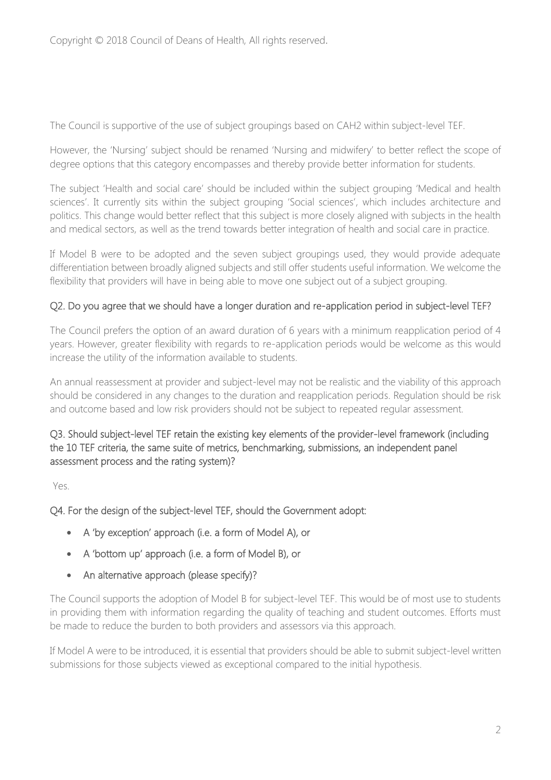The Council is supportive of the use of subject groupings based on CAH2 within subject-level TEF.

However, the 'Nursing' subject should be renamed 'Nursing and midwifery' to better reflect the scope of degree options that this category encompasses and thereby provide better information for students.

The subject 'Health and social care' should be included within the subject grouping 'Medical and health sciences'. It currently sits within the subject grouping 'Social sciences', which includes architecture and politics. This change would better reflect that this subject is more closely aligned with subjects in the health and medical sectors, as well as the trend towards better integration of health and social care in practice.

If Model B were to be adopted and the seven subject groupings used, they would provide adequate differentiation between broadly aligned subjects and still offer students useful information. We welcome the flexibility that providers will have in being able to move one subject out of a subject grouping.

## Q2. Do you agree that we should have a longer duration and re-application period in subject-level TEF?

The Council prefers the option of an award duration of 6 years with a minimum reapplication period of 4 years. However, greater flexibility with regards to re-application periods would be welcome as this would increase the utility of the information available to students.

An annual reassessment at provider and subject-level may not be realistic and the viability of this approach should be considered in any changes to the duration and reapplication periods. Regulation should be risk and outcome based and low risk providers should not be subject to repeated regular assessment.

#### Q3. Should subject-level TEF retain the existing key elements of the provider-level framework (including the 10 TEF criteria, the same suite of metrics, benchmarking, submissions, an independent panel assessment process and the rating system)?

Yes.

Q4. For the design of the subject-level TEF, should the Government adopt:

- A 'by exception' approach (i.e. a form of Model A), or
- A 'bottom up' approach (i.e. a form of Model B), or
- An alternative approach (please specify)?

The Council supports the adoption of Model B for subject-level TEF. This would be of most use to students in providing them with information regarding the quality of teaching and student outcomes. Efforts must be made to reduce the burden to both providers and assessors via this approach.

If Model A were to be introduced, it is essential that providers should be able to submit subject-level written submissions for those subjects viewed as exceptional compared to the initial hypothesis.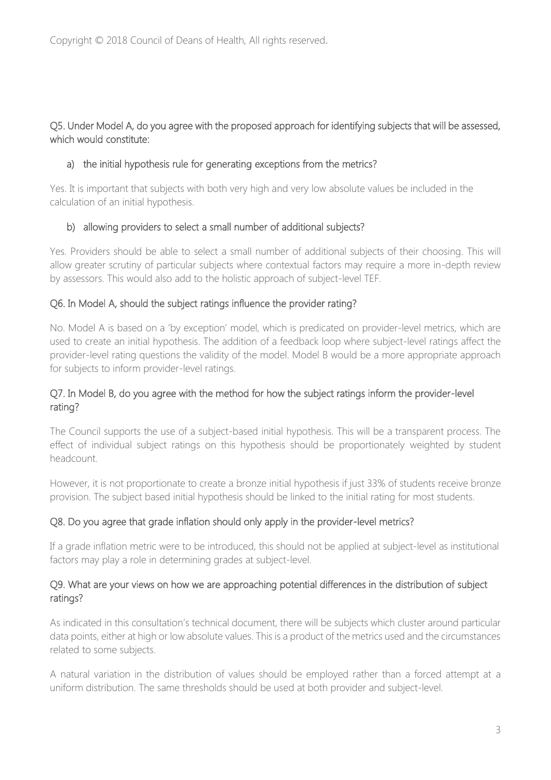## Q5. Under Model A, do you agree with the proposed approach for identifying subjects that will be assessed, which would constitute:

## a) the initial hypothesis rule for generating exceptions from the metrics?

Yes. It is important that subjects with both very high and very low absolute values be included in the calculation of an initial hypothesis.

## b) allowing providers to select a small number of additional subjects?

Yes. Providers should be able to select a small number of additional subjects of their choosing. This will allow greater scrutiny of particular subjects where contextual factors may require a more in-depth review by assessors. This would also add to the holistic approach of subject-level TEF.

## Q6. In Model A, should the subject ratings influence the provider rating?

No. Model A is based on a 'by exception' model, which is predicated on provider-level metrics, which are used to create an initial hypothesis. The addition of a feedback loop where subject-level ratings affect the provider-level rating questions the validity of the model. Model B would be a more appropriate approach for subjects to inform provider-level ratings.

## Q7. In Model B, do you agree with the method for how the subject ratings inform the provider-level rating?

The Council supports the use of a subject-based initial hypothesis. This will be a transparent process. The effect of individual subject ratings on this hypothesis should be proportionately weighted by student headcount.

However, it is not proportionate to create a bronze initial hypothesis if just 33% of students receive bronze provision. The subject based initial hypothesis should be linked to the initial rating for most students.

## Q8. Do you agree that grade inflation should only apply in the provider-level metrics?

If a grade inflation metric were to be introduced, this should not be applied at subject-level as institutional factors may play a role in determining grades at subject-level.

## Q9. What are your views on how we are approaching potential differences in the distribution of subject ratings?

As indicated in this consultation's technical document, there will be subjects which cluster around particular data points, either at high or low absolute values. This is a product of the metrics used and the circumstances related to some subjects.

A natural variation in the distribution of values should be employed rather than a forced attempt at a uniform distribution. The same thresholds should be used at both provider and subject-level.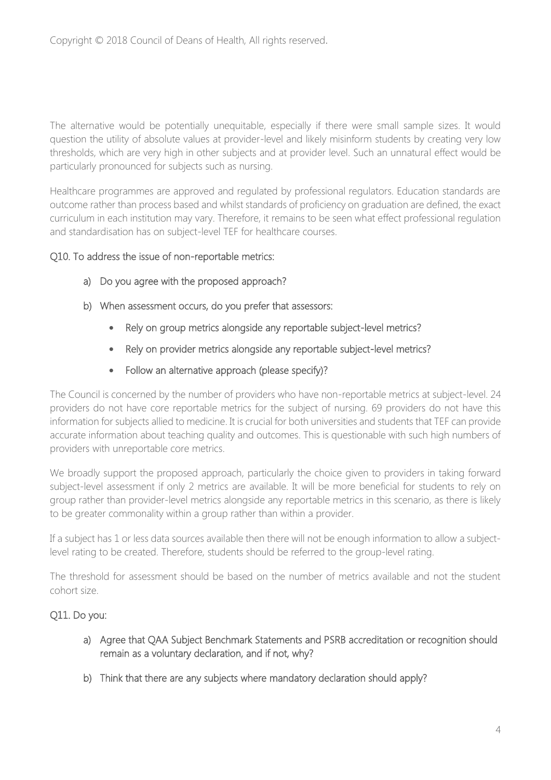The alternative would be potentially unequitable, especially if there were small sample sizes. It would question the utility of absolute values at provider-level and likely misinform students by creating very low thresholds, which are very high in other subjects and at provider level. Such an unnatural effect would be particularly pronounced for subjects such as nursing.

Healthcare programmes are approved and regulated by professional regulators. Education standards are outcome rather than process based and whilst standards of proficiency on graduation are defined, the exact curriculum in each institution may vary. Therefore, it remains to be seen what effect professional regulation and standardisation has on subject-level TEF for healthcare courses.

#### Q10. To address the issue of non-reportable metrics:

- a) Do you agree with the proposed approach?
- b) When assessment occurs, do you prefer that assessors:
	- Rely on group metrics alongside any reportable subject-level metrics?
	- Rely on provider metrics alongside any reportable subject-level metrics?
	- Follow an alternative approach (please specify)?

The Council is concerned by the number of providers who have non-reportable metrics at subject-level. 24 providers do not have core reportable metrics for the subject of nursing. 69 providers do not have this information for subjects allied to medicine. It is crucial for both universities and students that TEF can provide accurate information about teaching quality and outcomes. This is questionable with such high numbers of providers with unreportable core metrics.

We broadly support the proposed approach, particularly the choice given to providers in taking forward subject-level assessment if only 2 metrics are available. It will be more beneficial for students to rely on group rather than provider-level metrics alongside any reportable metrics in this scenario, as there is likely to be greater commonality within a group rather than within a provider.

If a subject has 1 or less data sources available then there will not be enough information to allow a subjectlevel rating to be created. Therefore, students should be referred to the group-level rating.

The threshold for assessment should be based on the number of metrics available and not the student cohort size.

## Q11. Do you:

- a) Agree that QAA Subject Benchmark Statements and PSRB accreditation or recognition should remain as a voluntary declaration, and if not, why?
- b) Think that there are any subjects where mandatory declaration should apply?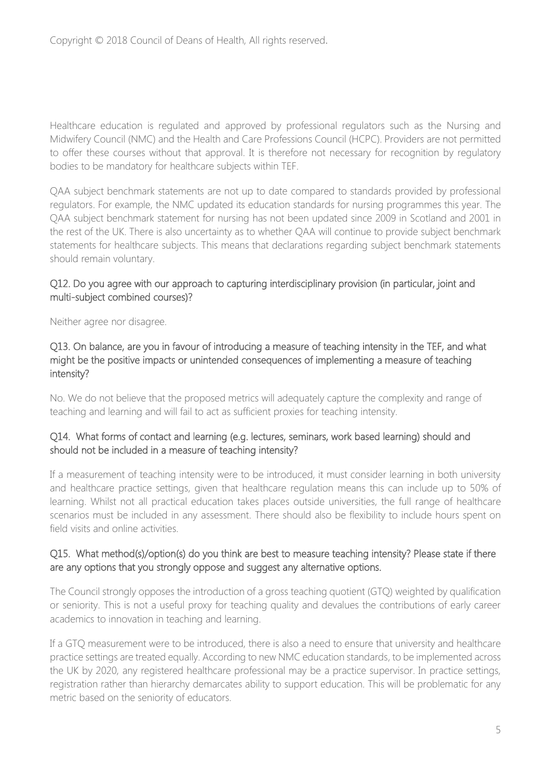Healthcare education is regulated and approved by professional regulators such as the Nursing and Midwifery Council (NMC) and the Health and Care Professions Council (HCPC). Providers are not permitted to offer these courses without that approval. It is therefore not necessary for recognition by regulatory bodies to be mandatory for healthcare subjects within TEF.

QAA subject benchmark statements are not up to date compared to standards provided by professional regulators. For example, the NMC updated its education standards for nursing programmes this year. The QAA subject benchmark statement for nursing has not been updated since 2009 in Scotland and 2001 in the rest of the UK. There is also uncertainty as to whether QAA will continue to provide subject benchmark statements for healthcare subjects. This means that declarations regarding subject benchmark statements should remain voluntary.

#### Q12. Do you agree with our approach to capturing interdisciplinary provision (in particular, joint and multi-subject combined courses)?

Neither agree nor disagree.

#### Q13. On balance, are you in favour of introducing a measure of teaching intensity in the TEF, and what might be the positive impacts or unintended consequences of implementing a measure of teaching intensity?

No. We do not believe that the proposed metrics will adequately capture the complexity and range of teaching and learning and will fail to act as sufficient proxies for teaching intensity.

## Q14. What forms of contact and learning (e.g. lectures, seminars, work based learning) should and should not be included in a measure of teaching intensity?

If a measurement of teaching intensity were to be introduced, it must consider learning in both university and healthcare practice settings, given that healthcare regulation means this can include up to 50% of learning. Whilst not all practical education takes places outside universities, the full range of healthcare scenarios must be included in any assessment. There should also be flexibility to include hours spent on field visits and online activities.

#### Q15. What method(s)/option(s) do you think are best to measure teaching intensity? Please state if there are any options that you strongly oppose and suggest any alternative options.

The Council strongly opposes the introduction of a gross teaching quotient (GTQ) weighted by qualification or seniority. This is not a useful proxy for teaching quality and devalues the contributions of early career academics to innovation in teaching and learning.

If a GTQ measurement were to be introduced, there is also a need to ensure that university and healthcare practice settings are treated equally. According to new NMC education standards, to be implemented across the UK by 2020, any registered healthcare professional may be a practice supervisor. In practice settings, registration rather than hierarchy demarcates ability to support education. This will be problematic for any metric based on the seniority of educators.